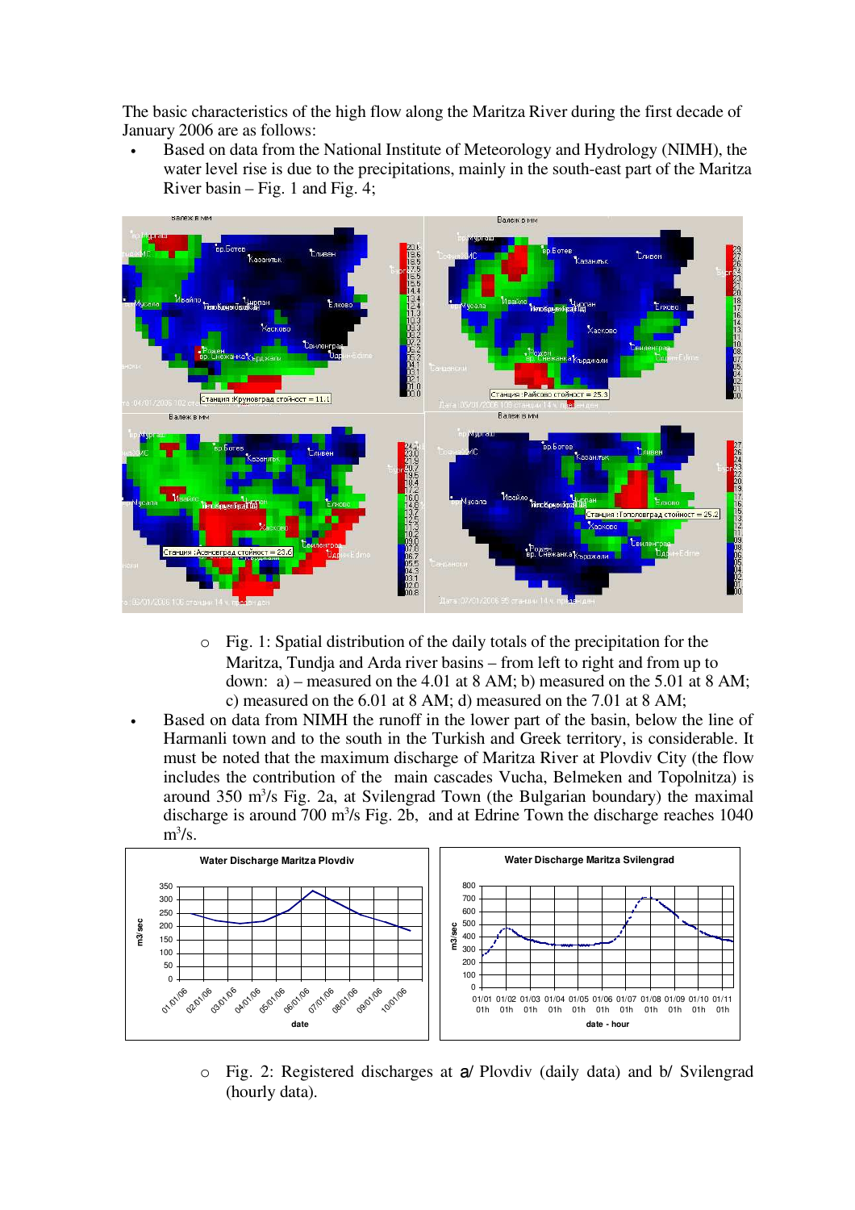The basic characteristics of the high flow along the Maritza River during the first decade of January 2006 are as follows:

• Based on data from the National Institute of Meteorology and Hydrology (NIMH), the water level rise is due to the precipitations, mainly in the south-east part of the Maritza River basin – Fig. 1 and Fig. 4;



- o Fig. 1: Spatial distribution of the daily totals of the precipitation for the Maritza, Tundja and Arda river basins – from left to right and from up to down: a) – measured on the 4.01 at 8 AM; b) measured on the 5.01 at 8 AM; c) measured on the 6.01 at 8 AM; d) measured on the 7.01 at 8 AM;
- Based on data from NIMH the runoff in the lower part of the basin, below the line of Harmanli town and to the south in the Turkish and Greek territory, is considerable. It must be noted that the maximum discharge of Maritza River at Plovdiv City (the flow includes the contribution of the main cascades Vucha, Belmeken and Topolnitza) is around 350 m<sup>3</sup> /s Fig. 2a, at Svilengrad Town (the Bulgarian boundary) the maximal discharge is around 700 m<sup>3</sup>/s Fig. 2b, and at Edrine Town the discharge reaches 1040  $m^3/s$ .



o Fig. 2: Registered discharges at a/ Plovdiv (daily data) and b/ Svilengrad (hourly data).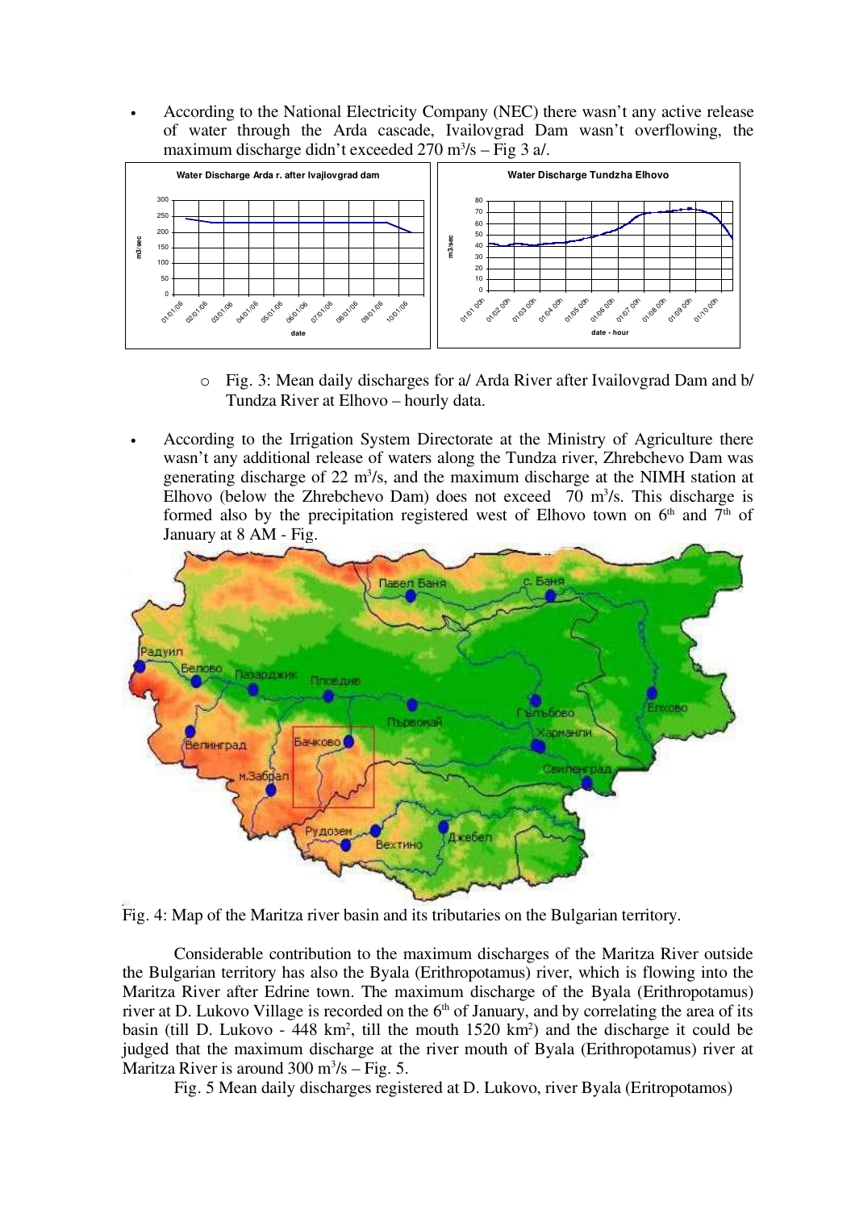• According to the National Electricity Company (NEC) there wasn't any active release of water through the Arda cascade, Ivailovgrad Dam wasn't overflowing, the maximum discharge didn't exceeded  $270 \text{ m}^3\text{/s} - \text{Fig 3 a/}.$ 



- o Fig. 3: Mean daily discharges for a/ Arda River after Ivailovgrad Dam and b/ Tundza River at Elhovo – hourly data.
- According to the Irrigation System Directorate at the Ministry of Agriculture there wasn't any additional release of waters along the Tundza river, Zhrebchevo Dam was generating discharge of  $22 \text{ m}^3$ /s, and the maximum discharge at the NIMH station at Elhovo (below the Zhrebchevo Dam) does not exceed  $70 \text{ m}^3/\text{s}$ . This discharge is formed also by the precipitation registered west of Elhovo town on  $6<sup>th</sup>$  and  $7<sup>th</sup>$  of January at 8 AM - Fig.





Considerable contribution to the maximum discharges of the Maritza River outside the Bulgarian territory has also the Byala (Erithropotamus) river, which is flowing into the Maritza River after Edrine town. The maximum discharge of the Byala (Erithropotamus) river at D. Lukovo Village is recorded on the  $6<sup>th</sup>$  of January, and by correlating the area of its basin (till D. Lukovo - 448 km<sup>2</sup>, till the mouth 1520 km<sup>2</sup>) and the discharge it could be judged that the maximum discharge at the river mouth of Byala (Erithropotamus) river at Maritza River is around  $300 \text{ m}^3/\text{s} - \text{Fig. 5.}$ 

Fig. 5 Mean daily discharges registered at D. Lukovo, river Byala (Eritropotamos)